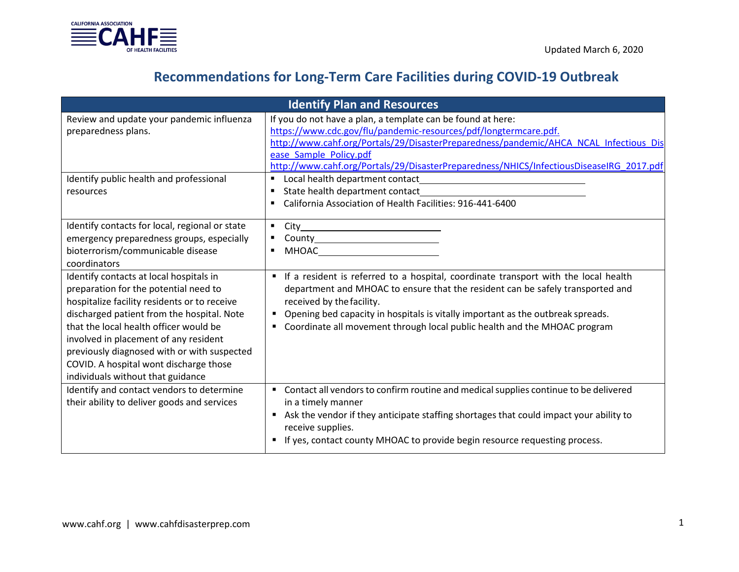

|                                                                                                                                                                                                                                                                                                                                                                                                 | <b>Identify Plan and Resources</b>                                                                                                                                                                                                                                                                                                                                   |
|-------------------------------------------------------------------------------------------------------------------------------------------------------------------------------------------------------------------------------------------------------------------------------------------------------------------------------------------------------------------------------------------------|----------------------------------------------------------------------------------------------------------------------------------------------------------------------------------------------------------------------------------------------------------------------------------------------------------------------------------------------------------------------|
| Review and update your pandemic influenza<br>preparedness plans.                                                                                                                                                                                                                                                                                                                                | If you do not have a plan, a template can be found at here:<br>https://www.cdc.gov/flu/pandemic-resources/pdf/longtermcare.pdf.<br>http://www.cahf.org/Portals/29/DisasterPreparedness/pandemic/AHCA NCAL Infectious Dis<br>ease Sample Policy.pdf<br>http://www.cahf.org/Portals/29/DisasterPreparedness/NHICS/InfectiousDiseaseIRG_2017.pdf                        |
| Identify public health and professional<br>resources                                                                                                                                                                                                                                                                                                                                            | California Association of Health Facilities: 916-441-6400                                                                                                                                                                                                                                                                                                            |
| Identify contacts for local, regional or state<br>emergency preparedness groups, especially<br>bioterrorism/communicable disease<br>coordinators                                                                                                                                                                                                                                                | MHOAC <b>All and Service Services</b>                                                                                                                                                                                                                                                                                                                                |
| Identify contacts at local hospitals in<br>preparation for the potential need to<br>hospitalize facility residents or to receive<br>discharged patient from the hospital. Note<br>that the local health officer would be<br>involved in placement of any resident<br>previously diagnosed with or with suspected<br>COVID. A hospital wont discharge those<br>individuals without that guidance | If a resident is referred to a hospital, coordinate transport with the local health<br>department and MHOAC to ensure that the resident can be safely transported and<br>received by the facility.<br>• Opening bed capacity in hospitals is vitally important as the outbreak spreads.<br>Coordinate all movement through local public health and the MHOAC program |
| Identify and contact vendors to determine<br>their ability to deliver goods and services                                                                                                                                                                                                                                                                                                        | • Contact all vendors to confirm routine and medical supplies continue to be delivered<br>in a timely manner<br>Ask the vendor if they anticipate staffing shortages that could impact your ability to<br>receive supplies.<br>If yes, contact county MHOAC to provide begin resource requesting process.                                                            |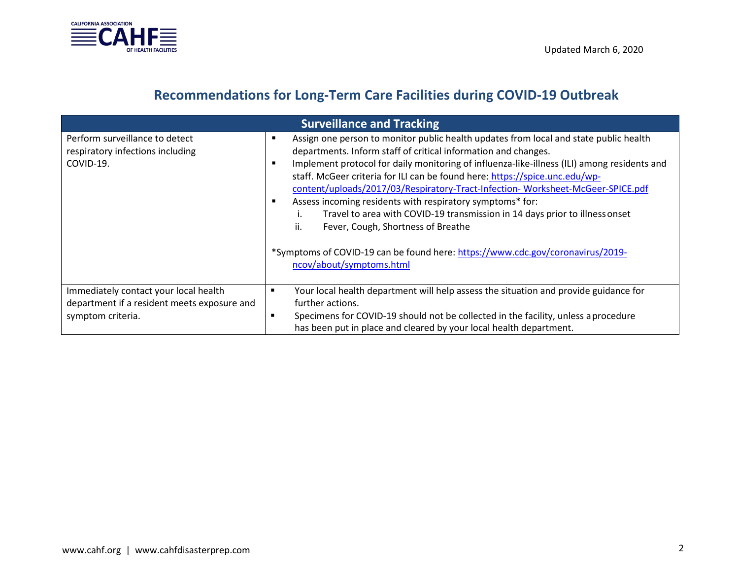

| <b>Surveillance and Tracking</b>                                                                          |                                                                                                                                                                                                                                                                                                                                                                                                                                                                                                                                                                                                                                                                                                                                               |  |  |  |
|-----------------------------------------------------------------------------------------------------------|-----------------------------------------------------------------------------------------------------------------------------------------------------------------------------------------------------------------------------------------------------------------------------------------------------------------------------------------------------------------------------------------------------------------------------------------------------------------------------------------------------------------------------------------------------------------------------------------------------------------------------------------------------------------------------------------------------------------------------------------------|--|--|--|
| Perform surveillance to detect<br>respiratory infections including<br>COVID-19.                           | Assign one person to monitor public health updates from local and state public health<br>п<br>departments. Inform staff of critical information and changes.<br>Implement protocol for daily monitoring of influenza-like-illness (ILI) among residents and<br>п<br>staff. McGeer criteria for ILI can be found here: https://spice.unc.edu/wp-<br>content/uploads/2017/03/Respiratory-Tract-Infection-Worksheet-McGeer-SPICE.pdf<br>Assess incoming residents with respiratory symptoms* for:<br>п<br>Travel to area with COVID-19 transmission in 14 days prior to illness onset<br>ii.<br>Fever, Cough, Shortness of Breathe<br>*Symptoms of COVID-19 can be found here: https://www.cdc.gov/coronavirus/2019-<br>ncov/about/symptoms.html |  |  |  |
| Immediately contact your local health<br>department if a resident meets exposure and<br>symptom criteria. | Your local health department will help assess the situation and provide guidance for<br>п<br>further actions.<br>Specimens for COVID-19 should not be collected in the facility, unless a procedure<br>$\blacksquare$<br>has been put in place and cleared by your local health department.                                                                                                                                                                                                                                                                                                                                                                                                                                                   |  |  |  |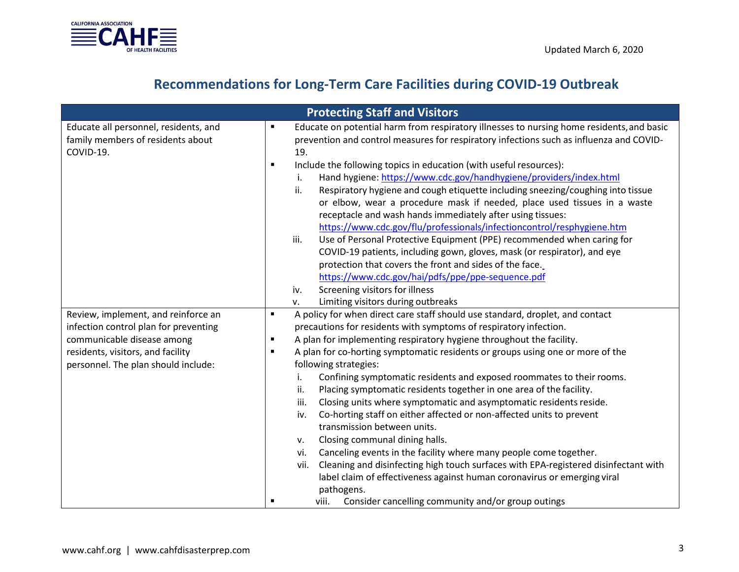

|                                       |                | <b>Protecting Staff and Visitors</b>                                                        |
|---------------------------------------|----------------|---------------------------------------------------------------------------------------------|
| Educate all personnel, residents, and | $\blacksquare$ | Educate on potential harm from respiratory illnesses to nursing home residents, and basic   |
| family members of residents about     |                | prevention and control measures for respiratory infections such as influenza and COVID-     |
| COVID-19.                             |                | 19.                                                                                         |
|                                       | $\blacksquare$ | Include the following topics in education (with useful resources):                          |
|                                       |                | Hand hygiene: https://www.cdc.gov/handhygiene/providers/index.html                          |
|                                       |                | Respiratory hygiene and cough etiquette including sneezing/coughing into tissue<br>ii.      |
|                                       |                | or elbow, wear a procedure mask if needed, place used tissues in a waste                    |
|                                       |                | receptacle and wash hands immediately after using tissues:                                  |
|                                       |                | https://www.cdc.gov/flu/professionals/infectioncontrol/resphygiene.htm                      |
|                                       |                | Use of Personal Protective Equipment (PPE) recommended when caring for<br>iii.              |
|                                       |                | COVID-19 patients, including gown, gloves, mask (or respirator), and eye                    |
|                                       |                | protection that covers the front and sides of the face.                                     |
|                                       |                | https://www.cdc.gov/hai/pdfs/ppe/ppe-sequence.pdf                                           |
|                                       |                | Screening visitors for illness<br>iv.                                                       |
|                                       |                | Limiting visitors during outbreaks<br>v.                                                    |
| Review, implement, and reinforce an   | $\blacksquare$ | A policy for when direct care staff should use standard, droplet, and contact               |
| infection control plan for preventing |                | precautions for residents with symptoms of respiratory infection.                           |
| communicable disease among            | $\blacksquare$ | A plan for implementing respiratory hygiene throughout the facility.                        |
| residents, visitors, and facility     | $\blacksquare$ | A plan for co-horting symptomatic residents or groups using one or more of the              |
| personnel. The plan should include:   |                | following strategies:                                                                       |
|                                       |                | Confining symptomatic residents and exposed roommates to their rooms.                       |
|                                       |                | Placing symptomatic residents together in one area of the facility.<br>ii.                  |
|                                       |                | Closing units where symptomatic and asymptomatic residents reside.<br>iii.                  |
|                                       |                | Co-horting staff on either affected or non-affected units to prevent<br>iv.                 |
|                                       |                | transmission between units.                                                                 |
|                                       |                | Closing communal dining halls.<br>۷.                                                        |
|                                       |                | Canceling events in the facility where many people come together.<br>vi.                    |
|                                       |                | Cleaning and disinfecting high touch surfaces with EPA-registered disinfectant with<br>vii. |
|                                       |                | label claim of effectiveness against human coronavirus or emerging viral                    |
|                                       |                | pathogens.                                                                                  |
|                                       | п              | Consider cancelling community and/or group outings<br>viii.                                 |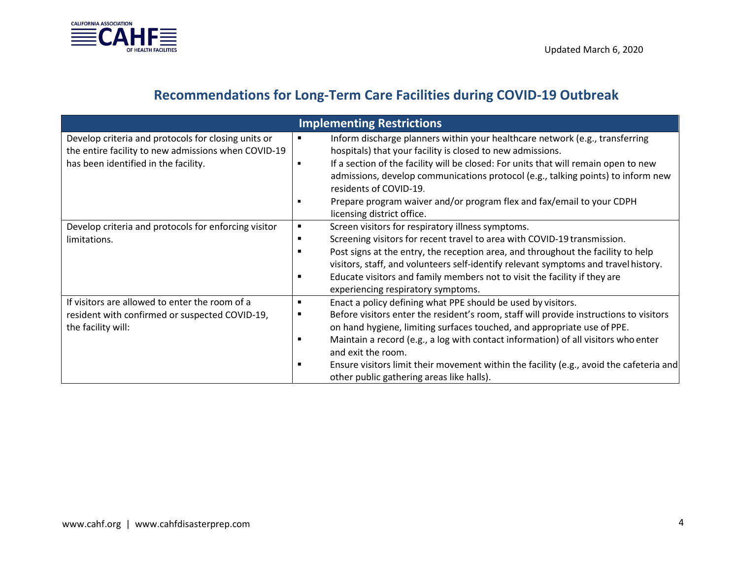

| <b>Implementing Restrictions</b>                                                                                                                   |                                                                                                                                                                                                                                                                                                                                                                                                                                                                                                              |  |  |
|----------------------------------------------------------------------------------------------------------------------------------------------------|--------------------------------------------------------------------------------------------------------------------------------------------------------------------------------------------------------------------------------------------------------------------------------------------------------------------------------------------------------------------------------------------------------------------------------------------------------------------------------------------------------------|--|--|
| Develop criteria and protocols for closing units or<br>the entire facility to new admissions when COVID-19<br>has been identified in the facility. | Inform discharge planners within your healthcare network (e.g., transferring<br>٠<br>hospitals) that your facility is closed to new admissions.<br>If a section of the facility will be closed: For units that will remain open to new<br>admissions, develop communications protocol (e.g., talking points) to inform new<br>residents of COVID-19.<br>Prepare program waiver and/or program flex and fax/email to your CDPH<br>licensing district office.                                                  |  |  |
| Develop criteria and protocols for enforcing visitor<br>limitations.                                                                               | Screen visitors for respiratory illness symptoms.<br>Screening visitors for recent travel to area with COVID-19 transmission.<br>Post signs at the entry, the reception area, and throughout the facility to help<br>visitors, staff, and volunteers self-identify relevant symptoms and travel history.<br>Educate visitors and family members not to visit the facility if they are<br>$\blacksquare$<br>experiencing respiratory symptoms.                                                                |  |  |
| If visitors are allowed to enter the room of a<br>resident with confirmed or suspected COVID-19,<br>the facility will:                             | Enact a policy defining what PPE should be used by visitors.<br>$\blacksquare$<br>Before visitors enter the resident's room, staff will provide instructions to visitors<br>٠<br>on hand hygiene, limiting surfaces touched, and appropriate use of PPE.<br>Maintain a record (e.g., a log with contact information) of all visitors who enter<br>and exit the room.<br>Ensure visitors limit their movement within the facility (e.g., avoid the cafeteria and<br>other public gathering areas like halls). |  |  |